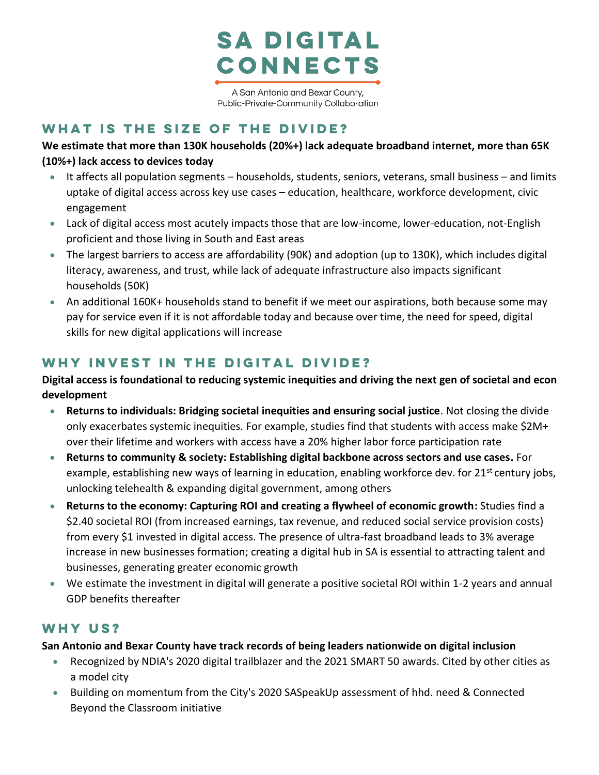

A San Antonio and Bexar County, Public-Private-Community Collaboration

## **What is the size of the divide?**

**We estimate that more than 130K households (20%+) lack adequate broadband internet, more than 65K (10%+) lack access to devices today**

- It affects all population segments households, students, seniors, veterans, small business and limits uptake of digital access across key use cases – education, healthcare, workforce development, civic engagement
- Lack of digital access most acutely impacts those that are low-income, lower-education, not-English proficient and those living in South and East areas
- The largest barriers to access are affordability (90K) and adoption (up to 130K), which includes digital literacy, awareness, and trust, while lack of adequate infrastructure also impacts significant households (50K)
- An additional 160K+ households stand to benefit if we meet our aspirations, both because some may pay for service even if it is not affordable today and because over time, the need for speed, digital skills for new digital applications will increase

## **Why invest in the digital divide?**

**Digital access is foundational to reducing systemic inequities and driving the next gen of societal and econ development**

- **Returns to individuals: Bridging societal inequities and ensuring social justice**. Not closing the divide only exacerbates systemic inequities. For example, studies find that students with access make \$2M+ over their lifetime and workers with access have a 20% higher labor force participation rate
- **Returns to community & society: Establishing digital backbone across sectors and use cases.** For example, establishing new ways of learning in education, enabling workforce dev. for 21<sup>st</sup> century jobs, unlocking telehealth & expanding digital government, among others
- **Returns to the economy: Capturing ROI and creating a flywheel of economic growth:** Studies find a \$2.40 societal ROI (from increased earnings, tax revenue, and reduced social service provision costs) from every \$1 invested in digital access. The presence of ultra-fast broadband leads to 3% average increase in new businesses formation; creating a digital hub in SA is essential to attracting talent and businesses, generating greater economic growth
- We estimate the investment in digital will generate a positive societal ROI within 1-2 years and annual GDP benefits thereafter

## **Why us?**

**San Antonio and Bexar County have track records of being leaders nationwide on digital inclusion** 

- Recognized by NDIA's 2020 digital trailblazer and the 2021 SMART 50 awards. Cited by other cities as a model city
- Building on momentum from the City's 2020 SASpeakUp assessment of hhd. need & Connected Beyond the Classroom initiative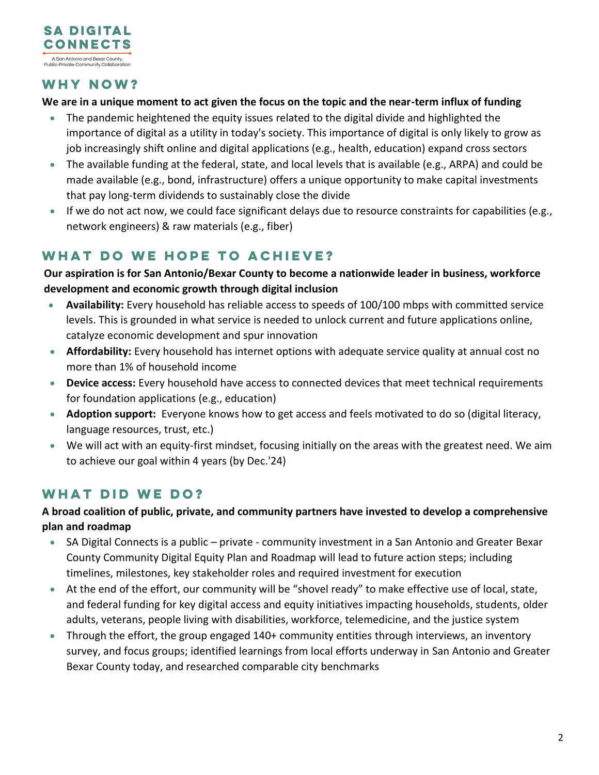

## **Why now?**

#### **We are in a unique moment to act given the focus on the topic and the near-term influx of funding**

- The pandemic heightened the equity issues related to the digital divide and highlighted the importance of digital as a utility in today's society. This importance of digital is only likely to grow as job increasingly shift online and digital applications (e.g., health, education) expand cross sectors
- The available funding at the federal, state, and local levels that is available (e.g., ARPA) and could be made available (e.g., bond, infrastructure) offers a unique opportunity to make capital investments that pay long-term dividends to sustainably close the divide
- If we do not act now, we could face significant delays due to resource constraints for capabilities (e.g., network engineers) & raw materials (e.g., fiber)

# **What do we hope to achieve?**

#### **Our aspiration is for San Antonio/Bexar County to become a nationwide leader in business, workforce development and economic growth through digital inclusion**

- **Availability:** Every household has reliable access to speeds of 100/100 mbps with committed service levels. This is grounded in what service is needed to unlock current and future applications online, catalyze economic development and spur innovation
- **Affordability:** Every household has internet options with adequate service quality at annual cost no more than 1% of household income
- **Device access:** Every household have access to connected devices that meet technical requirements for foundation applications (e.g., education)
- **Adoption support:** Everyone knows how to get access and feels motivated to do so (digital literacy, language resources, trust, etc.)
- We will act with an equity-first mindset, focusing initially on the areas with the greatest need. We aim to achieve our goal within 4 years (by Dec.'24)

# **What did we do?**

### **A broad coalition of public, private, and community partners have invested to develop a comprehensive plan and roadmap**

- SA Digital Connects is a public private community investment in a San Antonio and Greater Bexar County Community Digital Equity Plan and Roadmap will lead to future action steps; including timelines, milestones, key stakeholder roles and required investment for execution
- At the end of the effort, our community will be "shovel ready" to make effective use of local, state, and federal funding for key digital access and equity initiatives impacting households, students, older adults, veterans, people living with disabilities, workforce, telemedicine, and the justice system
- Through the effort, the group engaged 140+ community entities through interviews, an inventory survey, and focus groups; identified learnings from local efforts underway in San Antonio and Greater Bexar County today, and researched comparable city benchmarks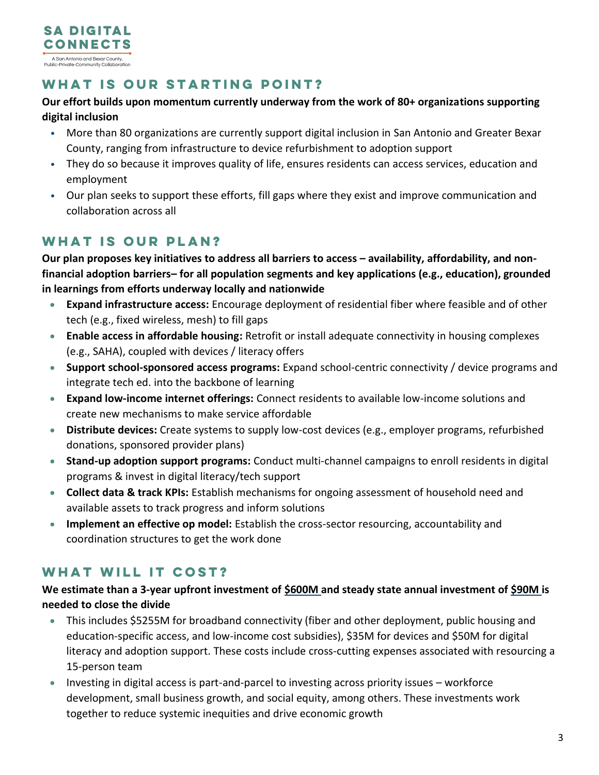

## **What is our starting point?**

#### **Our effort builds upon momentum currently underway from the work of 80+ organizations supporting digital inclusion**

- More than 80 organizations are currently support digital inclusion in San Antonio and Greater Bexar County, ranging from infrastructure to device refurbishment to adoption support
- They do so because it improves quality of life, ensures residents can access services, education and employment
- Our plan seeks to support these efforts, fill gaps where they exist and improve communication and collaboration across all

## **What is our plan?**

**Our plan proposes key initiatives to address all barriers to access – availability, affordability, and nonfinancial adoption barriers– for all population segments and key applications (e.g., education), grounded in learnings from efforts underway locally and nationwide**

- **Expand infrastructure access:** Encourage deployment of residential fiber where feasible and of other tech (e.g., fixed wireless, mesh) to fill gaps
- **Enable access in affordable housing:** Retrofit or install adequate connectivity in housing complexes (e.g., SAHA), coupled with devices / literacy offers
- **Support school-sponsored access programs:** Expand school-centric connectivity / device programs and integrate tech ed. into the backbone of learning
- **Expand low-income internet offerings:** Connect residents to available low-income solutions and create new mechanisms to make service affordable
- **Distribute devices:** Create systems to supply low-cost devices (e.g., employer programs, refurbished donations, sponsored provider plans)
- **Stand-up adoption support programs:** Conduct multi-channel campaigns to enroll residents in digital programs & invest in digital literacy/tech support
- **Collect data & track KPIs:** Establish mechanisms for ongoing assessment of household need and available assets to track progress and inform solutions
- **Implement an effective op model:** Establish the cross-sector resourcing, accountability and coordination structures to get the work done

# **What will it cost?**

### **We estimate than a 3-year upfront investment of \$600M and steady state annual investment of \$90M is needed to close the divide**

- This includes \$5255M for broadband connectivity (fiber and other deployment, public housing and education-specific access, and low-income cost subsidies), \$35M for devices and \$50M for digital literacy and adoption support. These costs include cross-cutting expenses associated with resourcing a 15-person team
- Investing in digital access is part-and-parcel to investing across priority issues workforce development, small business growth, and social equity, among others. These investments work together to reduce systemic inequities and drive economic growth